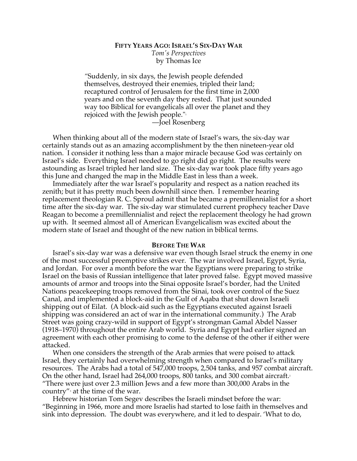## **FIFTY YEARS AGO: ISRAEL'S SIX-DAY WAR** *Tom's Perspectives* by Thomas Ice

*"*Suddenly, in six days, the Jewish people defended themselves, destroyed their enemies, tripled their land; recaptured control of Jerusalem for the first time in 2,000 years and on the seventh day they rested. That just sounded way too Biblical for evangelicals all over the planet and they rejoiced with the Jewish people."1

—Joel Rosenberg

When thinking about all of the modern state of Israel's wars, the six-day war certainly stands out as an amazing accomplishment by the then nineteen-year old nation. I consider it nothing less than a major miracle because God was certainly on Israel's side. Everything Israel needed to go right did go right. The results were astounding as Israel tripled her land size. The six-day war took place fifty years ago this June and changed the map in the Middle East in less than a week.

Immediately after the war Israel's popularity and respect as a nation reached its zenith; but it has pretty much been downhill since then. I remember hearing replacement theologian R. C. Sproul admit that he became a premillennialist for a short time after the six-day war. The six-day war stimulated current prophecy teacher Dave Reagan to become a premillennialist and reject the replacement theology he had grown up with. It seemed almost all of American Evangelicalism was excited about the modern state of Israel and thought of the new nation in biblical terms.

## **BEFORE THE WAR**

Israel's six-day war was a defensive war even though Israel struck the enemy in one of the most successful preemptive strikes ever. The war involved Israel, Egypt, Syria, and Jordan. For over a month before the war the Egyptians were preparing to strike Israel on the basis of Russian intelligence that later proved false. Egypt moved massive amounts of armor and troops into the Sinai opposite Israel's border, had the United Nations peacekeeping troops removed from the Sinai, took over control of the Suez Canal, and implemented a block-aid in the Gulf of Aqaba that shut down Israeli shipping out of Eilat. (A block-aid such as the Egyptians executed against Israeli shipping was considered an act of war in the international community.) The Arab Street was going crazy-wild in support of Egypt's strongman Gamal Abdel Nasser (1918–1970) throughout the entire Arab world. Syria and Egypt had earlier signed an agreement with each other promising to come to the defense of the other if either were attacked.

When one considers the strength of the Arab armies that were poised to attack Israel, they certainly had overwhelming strength when compared to Israel's military resources. The Arabs had a total of 547,000 troops, 2,504 tanks, and 957 combat aircraft. On the other hand, Israel had 264,000 troops, 800 tanks, and 300 combat aircraft. $^{\scriptscriptstyle 2}$ "There were just over 2.3 million Jews and a few more than 300,000 Arabs in the country" $\alpha$  at the time of the war.

Hebrew historian Tom Segev describes the Israeli mindset before the war: "Beginning in 1966, more and more Israelis had started to lose faith in themselves and sink into depression. The doubt was everywhere, and it led to despair. 'What to do,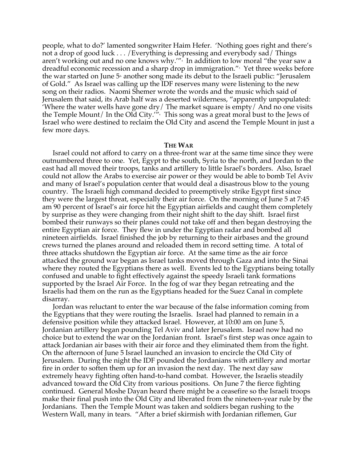people, what to do?' lamented songwriter Haim Hefer. 'Nothing goes right and there's not a drop of good luck . . . /Everything is depressing and everybody sad/ Things aren't working out and no one knows why.'" $\cdot$  In addition to low moral "the year saw a dreadful economic recession and a sharp drop in immigration."5 Yet three weeks before the war started on June  $5<sup>th</sup>$  another song made its debut to the Israeli public: "Jerusalem of Gold." As Israel was calling up the IDF reserves many were listening to the new song on their radios. Naomi Shemer wrote the words and the music which said of Jerusalem that said, its Arab half was a deserted wilderness, "apparently unpopulated: 'Where the water wells have gone dry/ The market square is empty/ And no one visits the Temple Mount/ In the Old City.'" $\cdot$  This song was a great moral bust to the Jews of Israel who were destined to reclaim the Old City and ascend the Temple Mount in just a few more days.

## **THE WAR**

Israel could not afford to carry on a three-front war at the same time since they were outnumbered three to one. Yet, Egypt to the south, Syria to the north, and Jordan to the east had all moved their troops, tanks and artillery to little Israel's borders. Also, Israel could not allow the Arabs to exercise air power or they would be able to bomb Tel Aviv and many of Israel's population center that would deal a disastrous blow to the young country. The Israeli high command decided to preemptively strike Egypt first since they were the largest threat, especially their air force. On the morning of June 5 at 7:45 am 90 percent of Israel's air force hit the Egyptian airfields and caught them completely by surprise as they were changing from their night shift to the day shift. Israel first bombed their runways so their planes could not take off and then began destroying the entire Egyptian air force. They flew in under the Egyptian radar and bombed all nineteen airfields. Israel finished the job by returning to their airbases and the ground crews turned the planes around and reloaded them in record setting time. A total of three attacks shutdown the Egyptian air force. At the same time as the air force attacked the ground war began as Israel tanks moved through Gaza and into the Sinai where they routed the Egyptians there as well. Events led to the Egyptians being totally confused and unable to fight effectively against the speedy Israeli tank formations supported by the Israel Air Force. In the fog of war they began retreating and the Israelis had them on the run as the Egyptians headed for the Suez Canal in complete disarray.

Jordan was reluctant to enter the war because of the false information coming from the Egyptians that they were routing the Israelis. Israel had planned to remain in a defensive position while they attacked Israel. However, at 10:00 am on June 5, Jordanian artillery began pounding Tel Aviv and later Jerusalem. Israel now had no choice but to extend the war on the Jordanian front. Israel's first step was once again to attack Jordanian air bases with their air force and they eliminated them from the fight. On the afternoon of June 5 Israel launched an invasion to encircle the Old City of Jerusalem. During the night the IDF pounded the Jordanians with artillery and mortar fire in order to soften them up for an invasion the next day. The next day saw extremely heavy fighting often hand-to-hand combat. However, the Israelis steadily advanced toward the Old City from various positions. On June 7 the fierce fighting continued. General Moshe Dayan heard there might be a ceasefire so the Israeli troops make their final push into the Old City and liberated from the nineteen-year rule by the Jordanians. Then the Temple Mount was taken and soldiers began rushing to the Western Wall, many in tears. "After a brief skirmish with Jordanian riflemen, Gur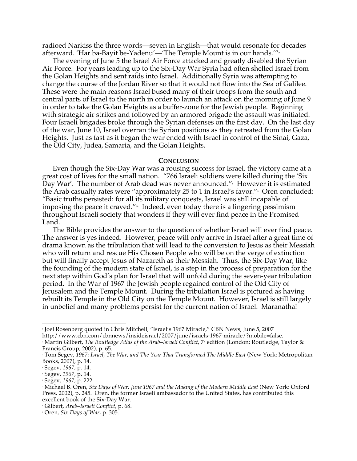radioed Narkiss the three words—seven in English—that would resonate for decades afterward. 'Har ba-Bayit be-Yadenu'—'The Temple Mount is in our hands.'"7

The evening of June 5 the Israel Air Force attacked and greatly disabled the Syrian Air Force. For years leading up to the Six-Day War Syria had often shelled Israel from the Golan Heights and sent raids into Israel. Additionally Syria was attempting to change the course of the Jordan River so that it would not flow into the Sea of Galilee. These were the main reasons Israel bused many of their troops from the south and central parts of Israel to the north in order to launch an attack on the morning of June 9 in order to take the Golan Heights as a buffer-zone for the Jewish people. Beginning with strategic air strikes and followed by an armored brigade the assault was initiated. Four Israeli brigades broke through the Syrian defenses on the first day. On the last day of the war, June 10, Israel overran the Syrian positions as they retreated from the Golan Heights. Just as fast as it began the war ended with Israel in control of the Sinai, Gaza, the Old City, Judea, Samaria, and the Golan Heights.

## **CONCLUSION**

Even though the Six-Day War was a rousing success for Israel, the victory came at a great cost of lives for the small nation. "766 Israeli soldiers were killed during the 'Six Day War′. The number of Arab dead was never announced.″® However it is estimated the Arab casualty rates were "approximately 25 to 1 in Israel's favor."<sup>,</sup> Oren concluded: "Basic truths persisted: for all its military conquests, Israel was still incapable of imposing the peace it craved." $\frac{1}{2}$  Indeed, even today there is a lingering pessimism throughout Israeli society that wonders if they will ever find peace in the Promised Land.

The Bible provides the answer to the question of whether Israel will ever find peace. The answer is yes indeed. However, peace will only arrive in Israel after a great time of drama known as the tribulation that will lead to the conversion to Jesus as their Messiah who will return and rescue His Chosen People who will be on the verge of extinction but will finally accept Jesus of Nazareth as their Messiah. Thus, the Six-Day War, like the founding of the modern state of Israel, is a step in the process of preparation for the next step within God's plan for Israel that will unfold during the seven-year tribulation period. In the War of 1967 the Jewish people regained control of the Old City of Jerusalem and the Temple Mount. During the tribulation Israel is pictured as having rebuilt its Temple in the Old City on the Temple Mount. However, Israel is still largely in unbelief and many problems persist for the current nation of Israel. Maranatha!

 <sup>1</sup> Joel Rosenberg quoted in Chris Mitchell, "Israel's 1967 Miracle," CBN News, June 5, 2007

http://www.cbn.com/cbnnews/insideisrael/2007/june/israels-1967-miracle/?mobile=false.

<sup>&</sup>lt;sup>2</sup> Martin Gilbert, *The Routledge Atlas of the Arab–Israeli Conflict*, 7<sup>\*</sup> edition (London: Routledge, Taylor & Francis Group, 2002), p. 65.

<sup>3</sup> Tom Segev, *1967: Israel, The War, and The Year That Transformed The Middle East* (New York: Metropolitan Books, 2007), p. 14.

<sup>4</sup> Segev, *1967*, p. 14.

<sup>5</sup> Segev, *1967*, p. 14.

<sup>6</sup> Segev, *1967*, p. 222.

<sup>7</sup> Michael B. Oren, *Six Days of War: June 1967 and the Making of the Modern Middle East* (New York: Oxford Press, 2002), p. 245. Oren, the former Israeli ambassador to the United States, has contributed this excellent book of the Six-Day War.

<sup>8</sup> Gilbert, *Arab–Israeli Conflict*, p. 68.

<sup>9</sup> Oren, *Six Days of War*, p. 305.